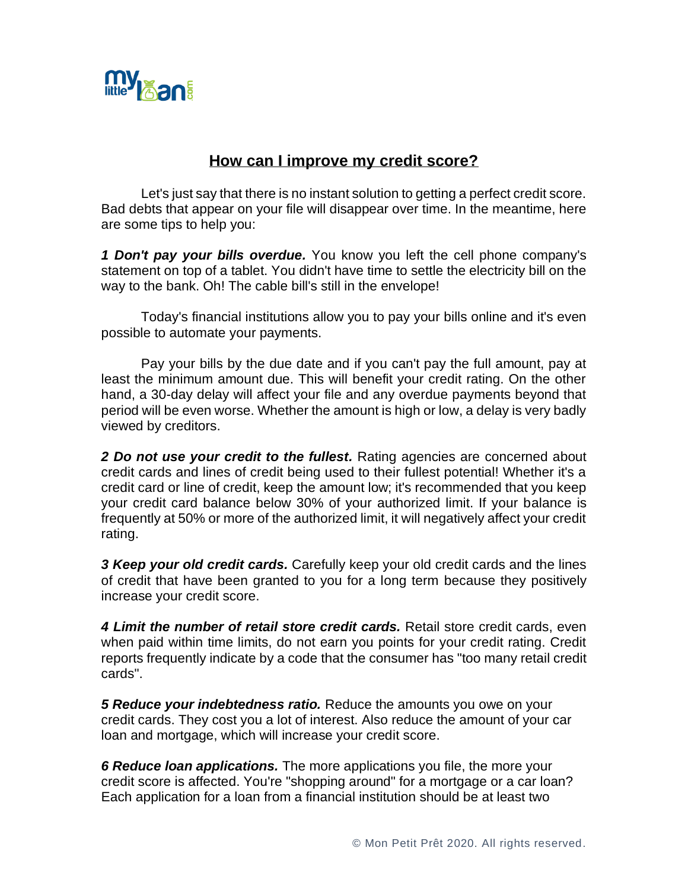

## **How can I improve my credit score?**

Let's just say that there is no instant solution to getting a perfect credit score. Bad debts that appear on your file will disappear over time. In the meantime, here are some tips to help you:

*1 Don't pay your bills overdue.* You know you left the cell phone company's statement on top of a tablet. You didn't have time to settle the electricity bill on the way to the bank. Oh! The cable bill's still in the envelope!

Today's financial institutions allow you to pay your bills online and it's even possible to automate your payments.

Pay your bills by the due date and if you can't pay the full amount, pay at least the minimum amount due. This will benefit your credit rating. On the other hand, a 30-day delay will affect your file and any overdue payments beyond that period will be even worse. Whether the amount is high or low, a delay is very badly viewed by creditors.

*2 Do not use your credit to the fullest.* Rating agencies are concerned about credit cards and lines of credit being used to their fullest potential! Whether it's a credit card or line of credit, keep the amount low; it's recommended that you keep your credit card balance below 30% of your authorized limit. If your balance is frequently at 50% or more of the authorized limit, it will negatively affect your credit rating.

*3 Keep your old credit cards.* Carefully keep your old credit cards and the lines of credit that have been granted to you for a long term because they positively increase your credit score.

*4 Limit the number of retail store credit cards.* Retail store credit cards, even when paid within time limits, do not earn you points for your credit rating. Credit reports frequently indicate by a code that the consumer has "too many retail credit cards".

*5 Reduce your indebtedness ratio.* Reduce the amounts you owe on your credit cards. They cost you a lot of interest. Also reduce the amount of your car loan and mortgage, which will increase your credit score.

*6 Reduce loan applications.* The more applications you file, the more your credit score is affected. You're "shopping around" for a mortgage or a car loan? Each application for a loan from a financial institution should be at least two